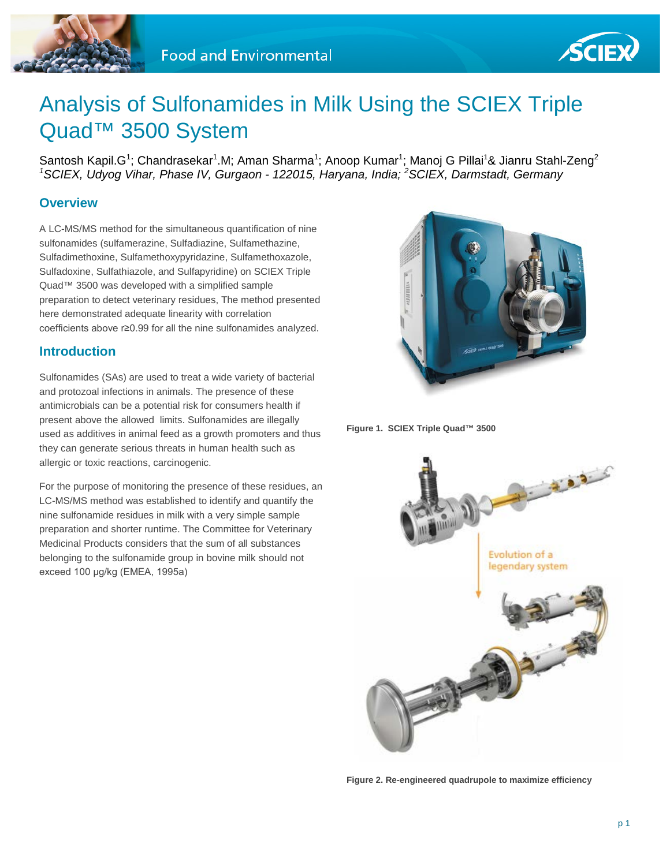



# Analysis of Sulfonamides in Milk Using the SCIEX Triple Quad™ 3500 System

Santosh Kapil.G<sup>1</sup>; Chandrasekar<sup>1</sup>.M; Aman Sharma<sup>1</sup>; Anoop Kumar<sup>1</sup>; Manoj G Pillai<sup>1</sup>& Jianru Stahl-Zeng<sup>2</sup> *1 SCIEX, Udyog Vihar, Phase IV, Gurgaon - 122015, Haryana, India; <sup>2</sup> SCIEX, Darmstadt, Germany*

## **Overview**

A LC-MS/MS method for the simultaneous quantification of nine sulfonamides (sulfamerazine, Sulfadiazine, Sulfamethazine, Sulfadimethoxine, Sulfamethoxypyridazine, Sulfamethoxazole, Sulfadoxine, Sulfathiazole, and Sulfapyridine) on SCIEX Triple Quad™ 3500 was developed with a simplified sample preparation to detect veterinary residues, The method presented here demonstrated adequate linearity with correlation coefficients above r≥0.99 for all the nine sulfonamides analyzed.

## **Introduction**

Sulfonamides (SAs) are used to treat a wide variety of bacterial and protozoal infections in animals. The presence of these antimicrobials can be a potential risk for consumers health if present above the allowed limits. Sulfonamides are illegally used as additives in animal feed as a growth promoters and thus they can generate serious threats in human health such as allergic or toxic reactions, carcinogenic.

For the purpose of monitoring the presence of these residues, an LC-MS/MS method was established to identify and quantify the nine sulfonamide residues in milk with a very simple sample preparation and shorter runtime. The Committee for Veterinary Medicinal Products considers that the sum of all substances belonging to the sulfonamide group in bovine milk should not exceed 100 μg/kg (EMEA, 1995a)



**Figure 1. SCIEX Triple Quad™ 3500**



**Figure 2. Re-engineered quadrupole to maximize efficiency**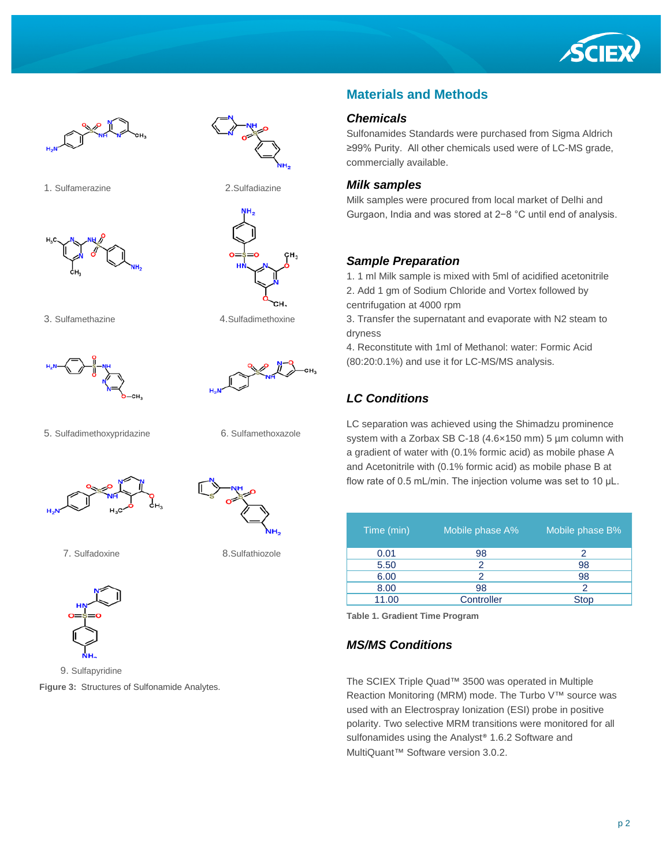





1. Sulfamerazine 2.Sulfadiazine





3. Sulfamethazine 4.Sulfadimethoxine



5. Sulfadimethoxypridazine 6. Sulfamethoxazole





7. Sulfadoxine 8.Sulfathiozole



9. Sulfapyridine

**Figure 3:** Structures of Sulfonamide Analytes.

## **Materials and Methods**

#### *Chemicals*

Sulfonamides Standards were purchased from Sigma Aldrich ≥99% Purity. All other chemicals used were of LC-MS grade, commercially available.

#### *Milk samples*

Milk samples were procured from local market of Delhi and Gurgaon, India and was stored at 2−8 °C until end of analysis.

#### *Sample Preparation*

1. 1 ml Milk sample is mixed with 5ml of acidified acetonitrile 2. Add 1 gm of Sodium Chloride and Vortex followed by centrifugation at 4000 rpm

3. Transfer the supernatant and evaporate with N2 steam to dryness

4. Reconstitute with 1ml of Methanol: water: Formic Acid (80:20:0.1%) and use it for LC-MS/MS analysis.

## *LC Conditions*

LC separation was achieved using the Shimadzu prominence system with a Zorbax SB C-18 (4.6×150 mm) 5 µm column with a gradient of water with (0.1% formic acid) as mobile phase A and Acetonitrile with (0.1% formic acid) as mobile phase B at flow rate of 0.5 mL/min. The injection volume was set to 10 μL.

| Time (min) | Mobile phase A% | Mobile phase B% |
|------------|-----------------|-----------------|
| 0.01       | 98              | 2               |
| 5.50       | 2               | 98              |
| 6.00       |                 | 98              |
| 8.00       | 98              | $\mathcal{P}$   |
| 11.00      | Controller      | <b>Stop</b>     |

**Table 1. Gradient Time Program**

#### *MS/MS Conditions*

The SCIEX Triple Quad™ 3500 was operated in Multiple Reaction Monitoring (MRM) mode. The Turbo V™ source was used with an Electrospray Ionization (ESI) probe in positive polarity. Two selective MRM transitions were monitored for all sulfonamides using the Analyst<sup>®</sup> 1.6.2 Software and MultiQuant™ Software version 3.0.2.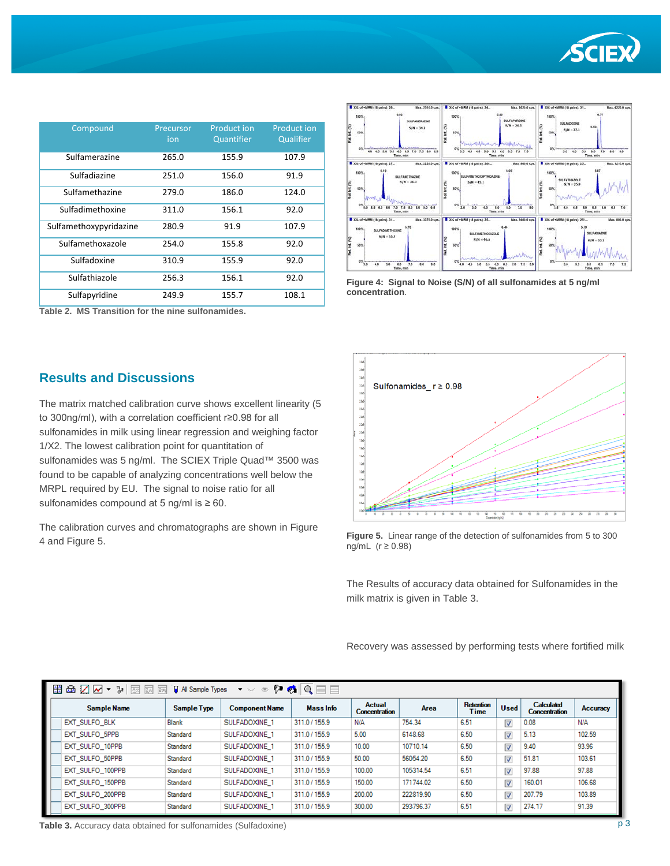

| Compound               | Precursor<br>ion | <b>Product ion</b><br>Quantifier | <b>Product ion</b><br>Qualifier |
|------------------------|------------------|----------------------------------|---------------------------------|
|                        |                  |                                  |                                 |
| Sulfamerazine          | 265.0            | 155.9                            | 107.9                           |
| Sulfadiazine           | 251.0            | 156.0                            | 91.9                            |
| Sulfamethazine         | 279.0            | 186.0                            | 124.0                           |
| Sulfadimethoxine       | 311.0            | 156.1                            | 92.0                            |
| Sulfamethoxypyridazine | 280.9            | 91.9                             | 107.9                           |
| Sulfamethoxazole       | 254.0            | 155.8                            | 92.0                            |
| Sulfadoxine            | 310.9            | 155.9                            | 92.0                            |
| Sulfathiazole          | 256.3            | 156.1                            | 92.0                            |
| Sulfapyridine          | 249.9            | 155.7                            | 108.1                           |

The matrix matched calibration curve shows excellent linearity (5

sulfonamides in milk using linear regression and weighing factor

sulfonamides was 5 ng/ml. The SCIEX Triple Quad™ 3500 was found to be capable of analyzing concentrations well below the

The calibration curves and chromatographs are shown in Figure

to 300ng/ml), with a correlation coefficient r≥0.98 for all

1/X2. The lowest calibration point for quantitation of

MRPL required by EU. The signal to noise ratio for all

sulfonamides compound at 5 ng/ml is  $\geq 60$ .

4 and Figure 5.

**Table 2. MS Transition for the nine sulfonamides.**

**Results and Discussions**



**Figure 4: Signal to Noise (S/N) of all sulfonamides at 5 ng/ml concentration**.





The Results of accuracy data obtained for Sulfonamides in the milk matrix is given in Table 3.

Recovery was assessed by performing tests where fortified milk

| 墨鱼乙区<br>$Q = 1$<br>ଭ<br>$\frac{\eta}{\sigma^2}$<br><b>国 区</b><br><b>H</b> All Sample Types<br>図<br>▼ > 35<br>$\mathbb{R}$<br>$\blacktriangledown$ |             |                       |               |                                       |           |                   |                         |                                    |          |
|---------------------------------------------------------------------------------------------------------------------------------------------------|-------------|-----------------------|---------------|---------------------------------------|-----------|-------------------|-------------------------|------------------------------------|----------|
| <b>Sample Name</b>                                                                                                                                | Sample Type | <b>Component Name</b> | Mass Info     | <b>Actual</b><br><b>Concentration</b> | Area      | Retention<br>Time | <b>Used</b>             | Calculated<br><b>Concentration</b> | Accuracy |
| EXT SULFO BLK                                                                                                                                     | Blank       | SULFADOXINE 1         | 311.0 / 155.9 | <b>N/A</b>                            | 754.34    | 6.51              | $\overline{\mathsf{v}}$ | 0.08                               | N/A      |
| EXT SULFO 5PPB                                                                                                                                    | Standard    | SULFADOXINE 1         | 311.0 / 155.9 | 5.00                                  | 6148.68   | 6.50              | $\overline{\mathsf{v}}$ | 5.13                               | 102.59   |
| EXT SULFO 10PPB                                                                                                                                   | Standard    | SULFADOXINE 1         | 311.0 / 155.9 | 10.00                                 | 10710.14  | 6.50              | $\overline{\mathsf{v}}$ | 9.40                               | 93.96    |
| EXT SULFO 50PPB                                                                                                                                   | Standard    | SULFADOXINE 1         | 311.0 / 155.9 | 50.00                                 | 56054.20  | 6.50              | $\overline{\mathsf{v}}$ | 51.81                              | 103.61   |
| EXT SULFO 100PPB                                                                                                                                  | Standard    | SULFADOXINE 1         | 311.0 / 155.9 | 100.00                                | 105314.54 | 6.51              | V                       | 97.88                              | 97.88    |
| EXT SULFO 150PPB                                                                                                                                  | Standard    | SULFADOXINE 1         | 311.0 / 155.9 | 150.00                                | 171744.02 | 6.50              | $\overline{\mathsf{v}}$ | 160.01                             | 106.68   |
| EXT SULFO 200PPB                                                                                                                                  | Standard    | SULFADOXINE 1         | 311.0 / 155.9 | 200.00                                | 222819.90 | 6.50              | V                       | 207.79                             | 103.89   |
| EXT SULFO 300PPB                                                                                                                                  | Standard    | SULFADOXINE 1         | 311.0 / 155.9 | 300.00                                | 293796.37 | 6.51              | $\overline{\mathsf{v}}$ | 274.17                             | 91.39    |

**Table 3.** Accuracy data obtained for sulfonamides (Sulfadoxine)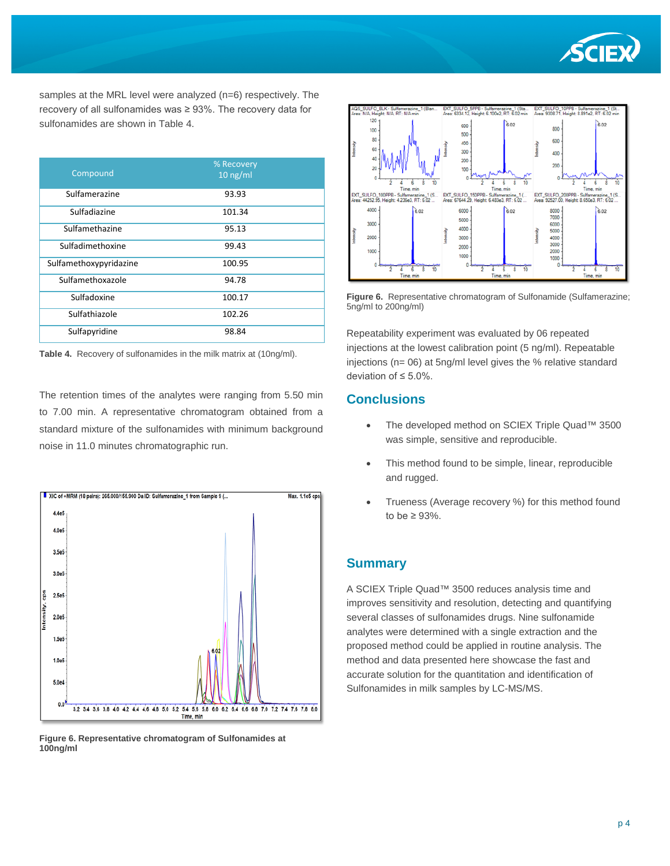

samples at the MRL level were analyzed (n=6) respectively. The recovery of all sulfonamides was ≥ 93%. The recovery data for sulfonamides are shown in Table 4.

| Compound               | % Recovery<br>$10$ ng/ml |
|------------------------|--------------------------|
| Sulfamerazine          | 93.93                    |
| Sulfadiazine           | 101.34                   |
| Sulfamethazine         | 95.13                    |
| Sulfadimethoxine       | 99.43                    |
| Sulfamethoxypyridazine | 100.95                   |
| Sulfamethoxazole       | 94.78                    |
| Sulfadoxine            | 100.17                   |
| Sulfathiazole          | 102.26                   |
| Sulfapyridine          | 98.84                    |

**Table 4.** Recovery of sulfonamides in the milk matrix at (10ng/ml).

The retention times of the analytes were ranging from 5.50 min to 7.00 min. A representative chromatogram obtained from a standard mixture of the sulfonamides with minimum background noise in 11.0 minutes chromatographic run.



**Figure 6. Representative chromatogram of Sulfonamides at 100ng/ml**



**Figure 6.** Representative chromatogram of Sulfonamide (Sulfamerazine; 5ng/ml to 200ng/ml)

Repeatability experiment was evaluated by 06 repeated injections at the lowest calibration point (5 ng/ml). Repeatable injections (n= 06) at 5ng/ml level gives the % relative standard deviation of ≤ 5.0%.

## **Conclusions**

- The developed method on SCIEX Triple Quad™ 3500 was simple, sensitive and reproducible.
- This method found to be simple, linear, reproducible and rugged.
- Trueness (Average recovery %) for this method found to be  $\geq 93\%$ .

## **Summary**

A SCIEX Triple Quad™ 3500 reduces analysis time and improves sensitivity and resolution, detecting and quantifying several classes of sulfonamides drugs. Nine sulfonamide analytes were determined with a single extraction and the proposed method could be applied in routine analysis. The method and data presented here showcase the fast and accurate solution for the quantitation and identification of Sulfonamides in milk samples by LC-MS/MS.